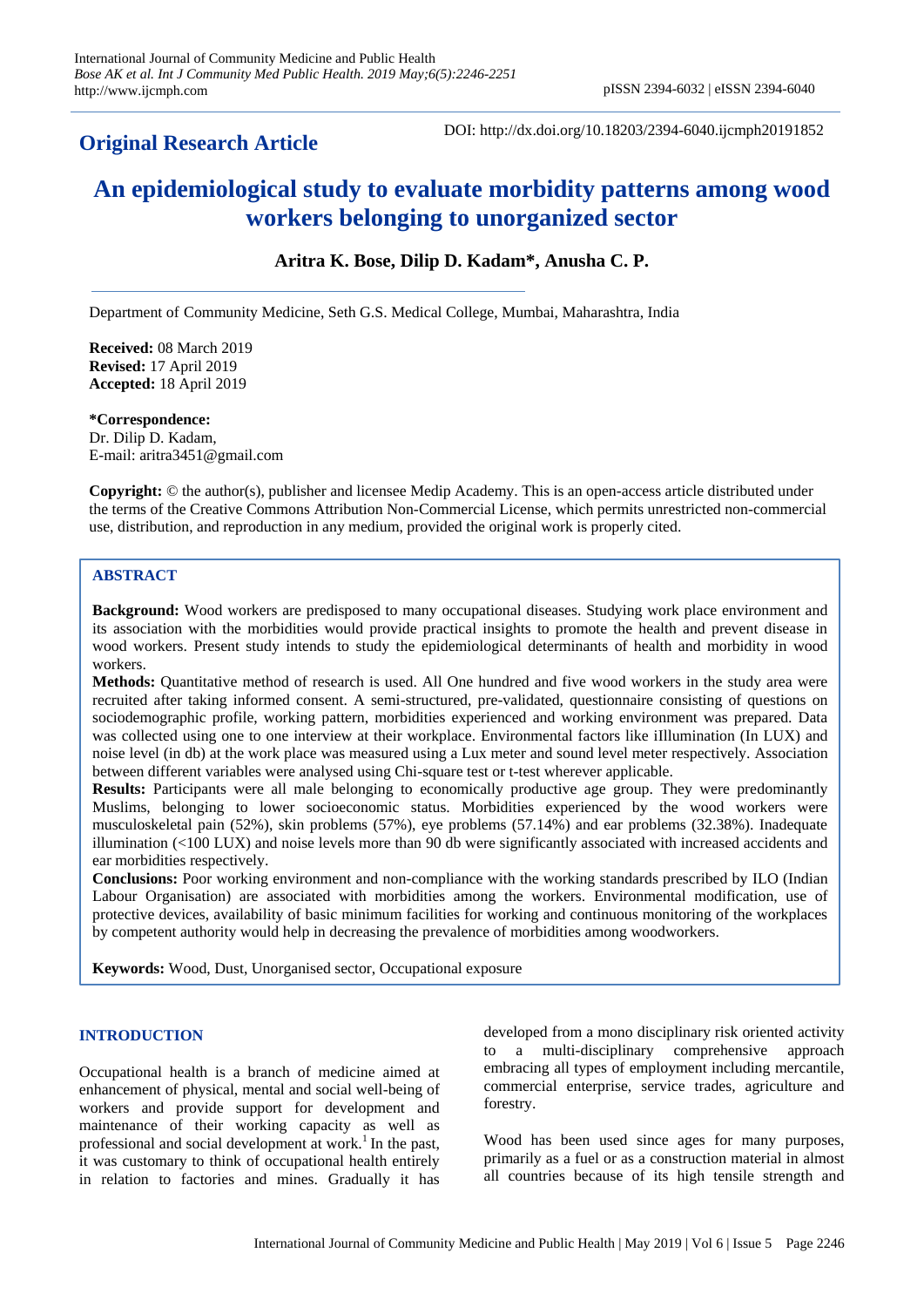## **Original Research Article**

DOI: http://dx.doi.org/10.18203/2394-6040.ijcmph20191852

# **An epidemiological study to evaluate morbidity patterns among wood workers belonging to unorganized sector**

## **Aritra K. Bose, Dilip D. Kadam\*, Anusha C. P.**

Department of Community Medicine, Seth G.S. Medical College, Mumbai, Maharashtra, India

**Received:** 08 March 2019 **Revised:** 17 April 2019 **Accepted:** 18 April 2019

**\*Correspondence:** Dr. Dilip D. Kadam, E-mail: aritra3451@gmail.com

**Copyright:** © the author(s), publisher and licensee Medip Academy. This is an open-access article distributed under the terms of the Creative Commons Attribution Non-Commercial License, which permits unrestricted non-commercial use, distribution, and reproduction in any medium, provided the original work is properly cited.

#### **ABSTRACT**

**Background:** Wood workers are predisposed to many occupational diseases. Studying work place environment and its association with the morbidities would provide practical insights to promote the health and prevent disease in wood workers. Present study intends to study the epidemiological determinants of health and morbidity in wood workers.

**Methods:** Quantitative method of research is used. All One hundred and five wood workers in the study area were recruited after taking informed consent. A semi-structured, pre-validated, questionnaire consisting of questions on sociodemographic profile, working pattern, morbidities experienced and working environment was prepared. Data was collected using one to one interview at their workplace. Environmental factors like iIllumination (In LUX) and noise level (in db) at the work place was measured using a Lux meter and sound level meter respectively. Association between different variables were analysed using Chi-square test or t-test wherever applicable.

**Results:** Participants were all male belonging to economically productive age group. They were predominantly Muslims, belonging to lower socioeconomic status. Morbidities experienced by the wood workers were musculoskeletal pain (52%), skin problems (57%), eye problems (57.14%) and ear problems (32.38%). Inadequate illumination (<100 LUX) and noise levels more than 90 db were significantly associated with increased accidents and ear morbidities respectively.

**Conclusions:** Poor working environment and non-compliance with the working standards prescribed by ILO (Indian Labour Organisation) are associated with morbidities among the workers. Environmental modification, use of protective devices, availability of basic minimum facilities for working and continuous monitoring of the workplaces by competent authority would help in decreasing the prevalence of morbidities among woodworkers.

**Keywords:** Wood, Dust, Unorganised sector, Occupational exposure

#### **INTRODUCTION**

Occupational health is a branch of medicine aimed at enhancement of physical, mental and social well-being of workers and provide support for development and maintenance of their working capacity as well as professional and social development at work.<sup>1</sup> In the past, it was customary to think of occupational health entirely in relation to factories and mines. Gradually it has developed from a mono disciplinary risk oriented activity to a multi-disciplinary comprehensive approach embracing all types of employment including mercantile, commercial enterprise, service trades, agriculture and forestry.

Wood has been used since ages for many purposes, primarily as a fuel or as a construction material in almost all countries because of its high tensile strength and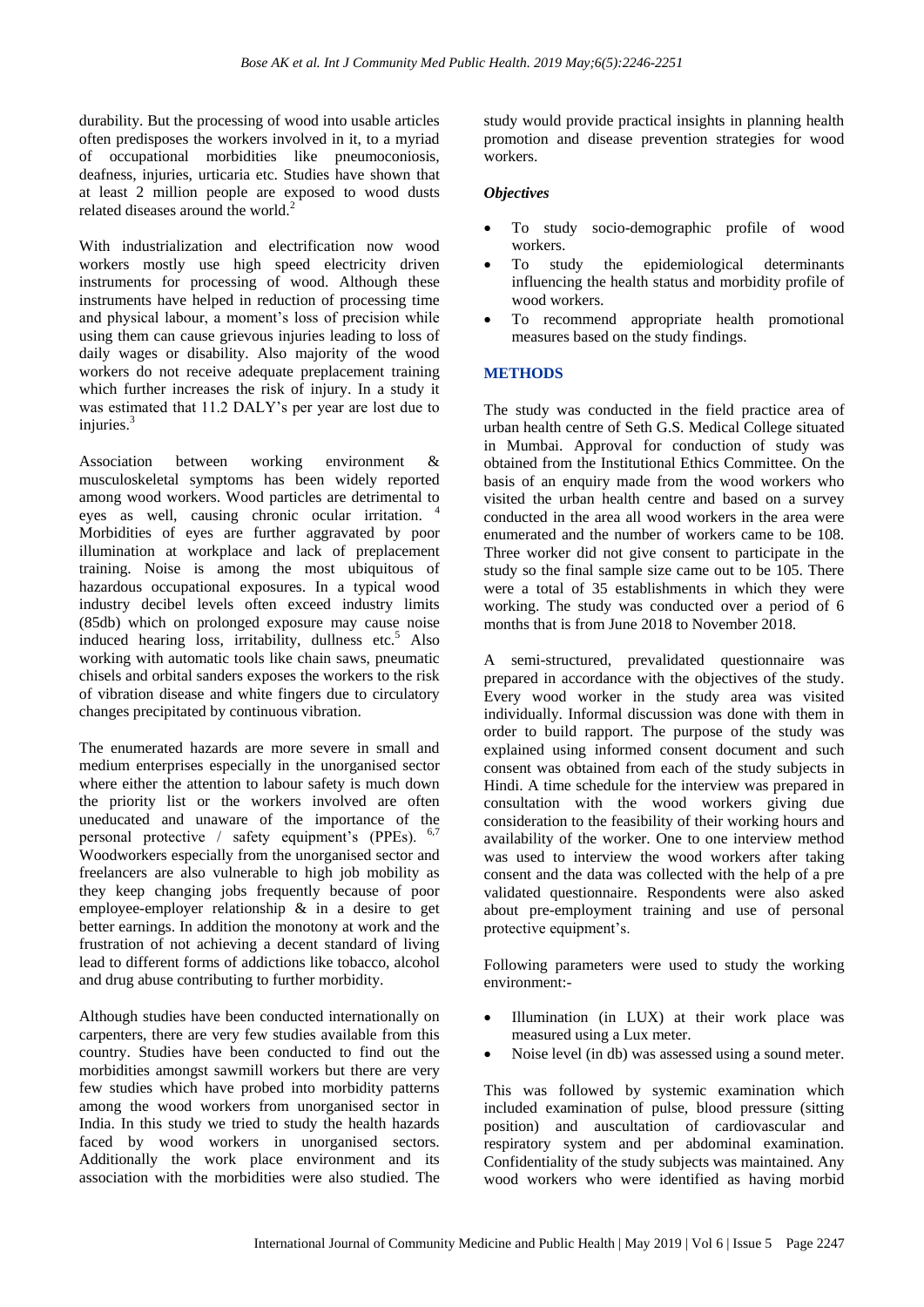durability. But the processing of wood into usable articles often predisposes the workers involved in it, to a myriad of occupational morbidities like pneumoconiosis, deafness, injuries, urticaria etc. Studies have shown that at least 2 million people are exposed to wood dusts related diseases around the world.<sup>2</sup>

With industrialization and electrification now wood workers mostly use high speed electricity driven instruments for processing of wood. Although these instruments have helped in reduction of processing time and physical labour, a moment's loss of precision while using them can cause grievous injuries leading to loss of daily wages or disability. Also majority of the wood workers do not receive adequate preplacement training which further increases the risk of injury. In a study it was estimated that 11.2 DALY's per year are lost due to injuries.<sup>3</sup>

Association between working environment & musculoskeletal symptoms has been widely reported among wood workers. Wood particles are detrimental to eyes as well, causing chronic ocular irritation. <sup>4</sup> Morbidities of eyes are further aggravated by poor illumination at workplace and lack of preplacement training. Noise is among the most ubiquitous of hazardous occupational exposures. In a typical wood industry decibel levels often exceed industry limits (85db) which on prolonged exposure may cause noise induced hearing loss, irritability, dullness etc. $5$  Also working with automatic tools like chain saws, pneumatic chisels and orbital sanders exposes the workers to the risk of vibration disease and white fingers due to circulatory changes precipitated by continuous vibration.

The enumerated hazards are more severe in small and medium enterprises especially in the unorganised sector where either the attention to labour safety is much down the priority list or the workers involved are often uneducated and unaware of the importance of the personal protective / safety equipment's (PPEs). 6,7 Woodworkers especially from the unorganised sector and freelancers are also vulnerable to high job mobility as they keep changing jobs frequently because of poor employee-employer relationship & in a desire to get better earnings. In addition the monotony at work and the frustration of not achieving a decent standard of living lead to different forms of addictions like tobacco, alcohol and drug abuse contributing to further morbidity.

Although studies have been conducted internationally on carpenters, there are very few studies available from this country. Studies have been conducted to find out the morbidities amongst sawmill workers but there are very few studies which have probed into morbidity patterns among the wood workers from unorganised sector in India. In this study we tried to study the health hazards faced by wood workers in unorganised sectors. Additionally the work place environment and its association with the morbidities were also studied. The

study would provide practical insights in planning health promotion and disease prevention strategies for wood workers.

#### *Objectives*

- To study socio-demographic profile of wood workers.
- To study the epidemiological determinants influencing the health status and morbidity profile of wood workers.
- To recommend appropriate health promotional measures based on the study findings.

#### **METHODS**

The study was conducted in the field practice area of urban health centre of Seth G.S. Medical College situated in Mumbai. Approval for conduction of study was obtained from the Institutional Ethics Committee. On the basis of an enquiry made from the wood workers who visited the urban health centre and based on a survey conducted in the area all wood workers in the area were enumerated and the number of workers came to be 108. Three worker did not give consent to participate in the study so the final sample size came out to be 105. There were a total of 35 establishments in which they were working. The study was conducted over a period of 6 months that is from June 2018 to November 2018.

A semi-structured, prevalidated questionnaire was prepared in accordance with the objectives of the study. Every wood worker in the study area was visited individually. Informal discussion was done with them in order to build rapport. The purpose of the study was explained using informed consent document and such consent was obtained from each of the study subjects in Hindi. A time schedule for the interview was prepared in consultation with the wood workers giving due consideration to the feasibility of their working hours and availability of the worker. One to one interview method was used to interview the wood workers after taking consent and the data was collected with the help of a pre validated questionnaire. Respondents were also asked about pre-employment training and use of personal protective equipment's.

Following parameters were used to study the working environment:-

- Illumination (in LUX) at their work place was measured using a Lux meter.
- Noise level (in db) was assessed using a sound meter.

This was followed by systemic examination which included examination of pulse, blood pressure (sitting position) and auscultation of cardiovascular and respiratory system and per abdominal examination. Confidentiality of the study subjects was maintained. Any wood workers who were identified as having morbid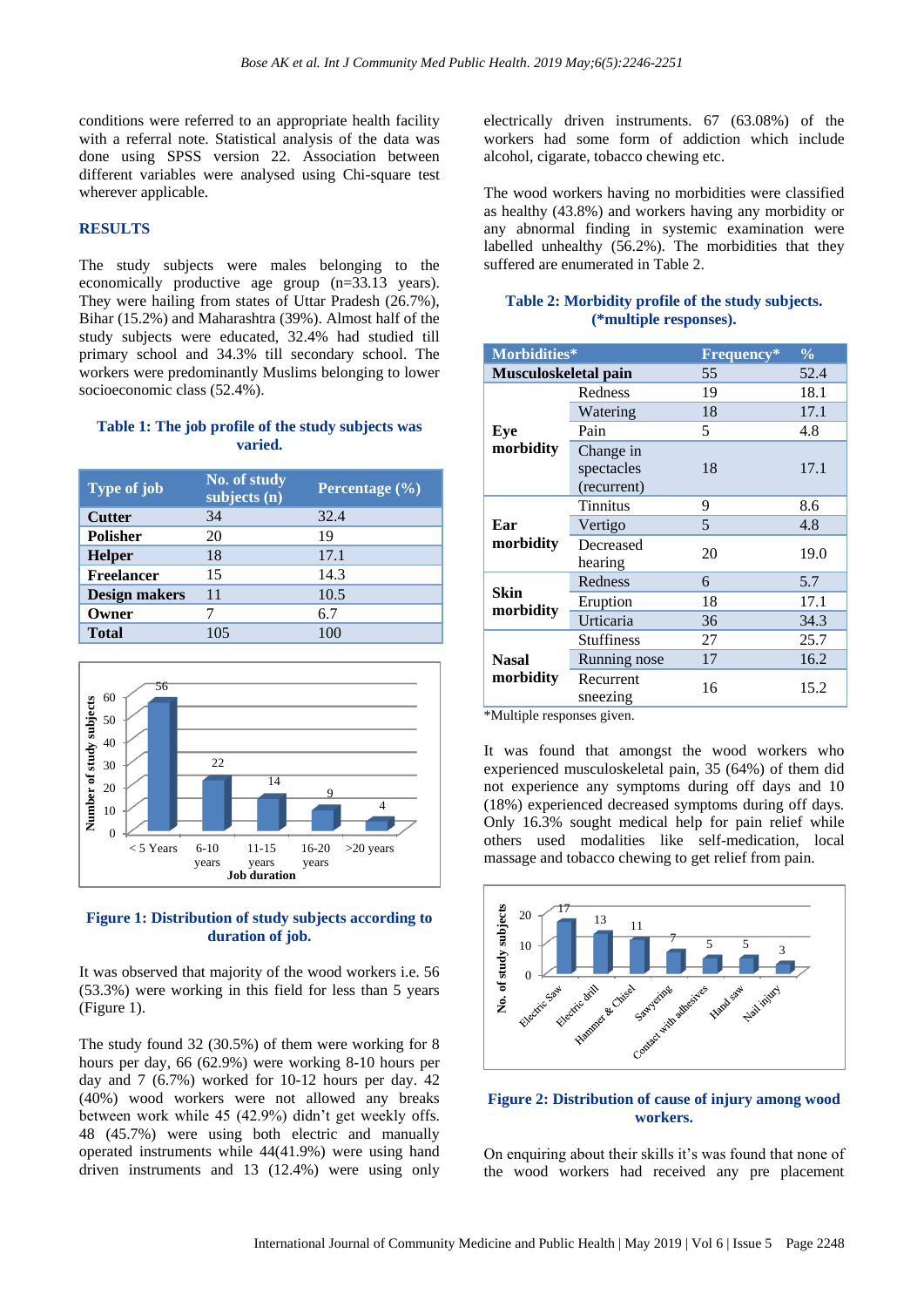conditions were referred to an appropriate health facility with a referral note. Statistical analysis of the data was done using SPSS version 22. Association between different variables were analysed using Chi-square test wherever applicable.

#### **RESULTS**

The study subjects were males belonging to the economically productive age group (n=33.13 years). They were hailing from states of Uttar Pradesh (26.7%), Bihar (15.2%) and Maharashtra (39%). Almost half of the study subjects were educated, 32.4% had studied till primary school and 34.3% till secondary school. The workers were predominantly Muslims belonging to lower socioeconomic class (52.4%).

#### **Table 1: The job profile of the study subjects was varied.**

| <b>Type of job</b>   | <b>No. of study</b><br>subjects (n) | Percentage $(\% )$ |
|----------------------|-------------------------------------|--------------------|
| <b>Cutter</b>        | 34                                  | 32.4               |
| <b>Polisher</b>      | 20                                  | 19                 |
| <b>Helper</b>        | 18                                  | 17.1               |
| <b>Freelancer</b>    | 15                                  | 14.3               |
| <b>Design makers</b> | 11                                  | 10.5               |
| Owner                |                                     | 6.7                |
| <b>Total</b>         | 105                                 | 100                |



#### **Figure 1: Distribution of study subjects according to duration of job.**

It was observed that majority of the wood workers i.e. 56 (53.3%) were working in this field for less than 5 years (Figure 1).

The study found 32 (30.5%) of them were working for 8 hours per day, 66 (62.9%) were working 8-10 hours per day and 7 (6.7%) worked for 10-12 hours per day. 42 (40%) wood workers were not allowed any breaks between work while 45 (42.9%) didn't get weekly offs. 48 (45.7%) were using both electric and manually operated instruments while 44(41.9%) were using hand driven instruments and 13 (12.4%) were using only electrically driven instruments. 67 (63.08%) of the workers had some form of addiction which include alcohol, cigarate, tobacco chewing etc.

The wood workers having no morbidities were classified as healthy (43.8%) and workers having any morbidity or any abnormal finding in systemic examination were labelled unhealthy (56.2%). The morbidities that they suffered are enumerated in Table 2.

#### **Table 2: Morbidity profile of the study subjects. (\*multiple responses).**

| Morbidities*              |                   | Frequency* | $\frac{0}{0}$ |
|---------------------------|-------------------|------------|---------------|
| Musculoskeletal pain      |                   | 55         | 52.4          |
| Eye<br>morbidity          | Redness           | 19         | 18.1          |
|                           | Watering          | 18         | 17.1          |
|                           | Pain              | 5          | 4.8           |
|                           | Change in         |            |               |
|                           | spectacles        | 18         | 17.1          |
|                           | (recurrent)       |            |               |
| Ear<br>morbidity          | Tinnitus          | 9          | 8.6           |
|                           | Vertigo           | 5          | 4.8           |
|                           | Decreased         | 20         | 19.0          |
|                           | hearing           |            |               |
| <b>Skin</b><br>morbidity  | Redness           | 6          | 5.7           |
|                           | Eruption          | 18         | 17.1          |
|                           | Urticaria         | 36         | 34.3          |
| <b>Nasal</b><br>morbidity | <b>Stuffiness</b> | 27         | 25.7          |
|                           | Running nose      | 17         | 16.2          |
|                           | Recurrent         | 16         | 15.2          |
|                           | sneezing          |            |               |

\*Multiple responses given.

It was found that amongst the wood workers who experienced musculoskeletal pain, 35 (64%) of them did not experience any symptoms during off days and 10 (18%) experienced decreased symptoms during off days. Only 16.3% sought medical help for pain relief while others used modalities like self-medication, local massage and tobacco chewing to get relief from pain.



#### **Figure 2: Distribution of cause of injury among wood workers.**

On enquiring about their skills it's was found that none of the wood workers had received any pre placement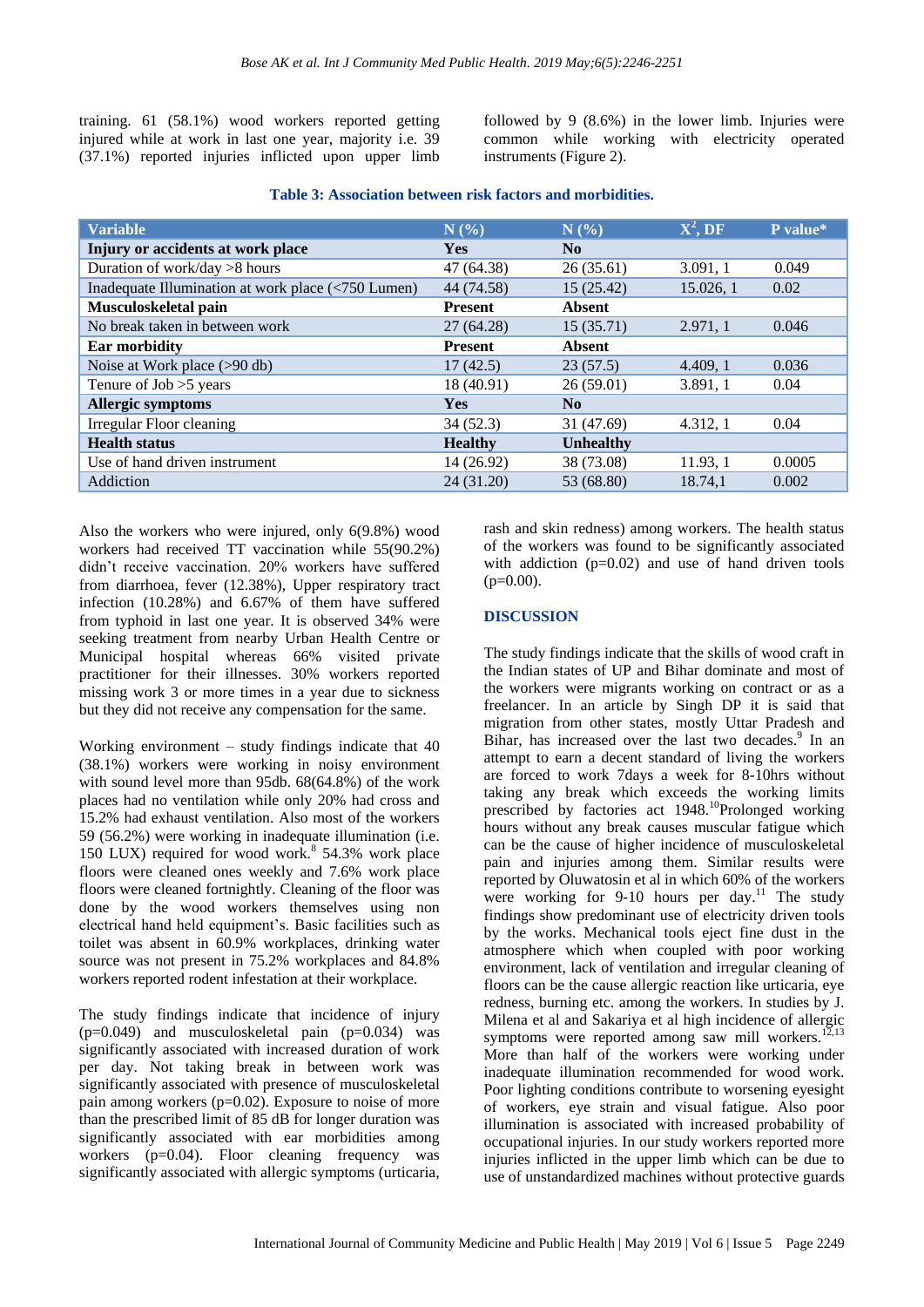training. 61 (58.1%) wood workers reported getting injured while at work in last one year, majority i.e. 39 (37.1%) reported injuries inflicted upon upper limb followed by 9 (8.6%) in the lower limb. Injuries were common while working with electricity operated instruments (Figure 2).

| <b>Variable</b>                                    | N(%)           | N(%)                   | $X^2$ , DF | P value* |
|----------------------------------------------------|----------------|------------------------|------------|----------|
| Injury or accidents at work place                  | Yes            | No                     |            |          |
| Duration of work/day >8 hours                      | 47 (64.38)     | 26(35.61)              | 3.091, 1   | 0.049    |
| Inadequate Illumination at work place (<750 Lumen) | 44 (74.58)     | 15(25.42)              | 15.026, 1  | 0.02     |
| Musculoskeletal pain                               | <b>Present</b> | Absent                 |            |          |
| No break taken in between work                     | 27 (64.28)     | 15(35.71)              | 2.971, 1   | 0.046    |
| Ear morbidity                                      | <b>Present</b> | <b>Absent</b>          |            |          |
| Noise at Work place (>90 db)                       | 17(42.5)       | 23(57.5)               | 4.409, 1   | 0.036    |
| Tenure of $Job > 5$ years                          | 18 (40.91)     | 26(59.01)              | 3.891, 1   | 0.04     |
| <b>Allergic symptoms</b>                           | <b>Yes</b>     | $\mathbf{N}\mathbf{0}$ |            |          |
| Irregular Floor cleaning                           | 34(52.3)       | 31 (47.69)             | 4.312, 1   | 0.04     |
| <b>Health status</b>                               | <b>Healthy</b> | Unhealthy              |            |          |
| Use of hand driven instrument                      | 14 (26.92)     | 38 (73.08)             | 11.93, 1   | 0.0005   |
| Addiction                                          | 24 (31.20)     | 53 (68.80)             | 18.74,1    | 0.002    |

**Table 3: Association between risk factors and morbidities.**

Also the workers who were injured, only 6(9.8%) wood workers had received TT vaccination while 55(90.2%) didn't receive vaccination. 20% workers have suffered from diarrhoea, fever (12.38%), Upper respiratory tract infection (10.28%) and 6.67% of them have suffered from typhoid in last one year. It is observed 34% were seeking treatment from nearby Urban Health Centre or Municipal hospital whereas 66% visited private practitioner for their illnesses. 30% workers reported missing work 3 or more times in a year due to sickness but they did not receive any compensation for the same.

Working environment – study findings indicate that 40 (38.1%) workers were working in noisy environment with sound level more than 95db. 68(64.8%) of the work places had no ventilation while only 20% had cross and 15.2% had exhaust ventilation. Also most of the workers 59 (56.2%) were working in inadequate illumination (i.e. 150 LUX) required for wood work.<sup>8</sup> 54.3% work place floors were cleaned ones weekly and 7.6% work place floors were cleaned fortnightly. Cleaning of the floor was done by the wood workers themselves using non electrical hand held equipment's. Basic facilities such as toilet was absent in 60.9% workplaces, drinking water source was not present in 75.2% workplaces and 84.8% workers reported rodent infestation at their workplace.

The study findings indicate that incidence of injury  $(p=0.049)$  and musculoskeletal pain  $(p=0.034)$  was significantly associated with increased duration of work per day. Not taking break in between work was significantly associated with presence of musculoskeletal pain among workers  $(p=0.02)$ . Exposure to noise of more than the prescribed limit of 85 dB for longer duration was significantly associated with ear morbidities among workers (p=0.04). Floor cleaning frequency was significantly associated with allergic symptoms (urticaria, rash and skin redness) among workers. The health status of the workers was found to be significantly associated with addiction  $(p=0.02)$  and use of hand driven tools  $(p=0.00)$ .

#### **DISCUSSION**

The study findings indicate that the skills of wood craft in the Indian states of UP and Bihar dominate and most of the workers were migrants working on contract or as a freelancer. In an article by Singh DP it is said that migration from other states, mostly Uttar Pradesh and Bihar, has increased over the last two decades.<sup>9</sup> In an attempt to earn a decent standard of living the workers are forced to work 7days a week for 8-10hrs without taking any break which exceeds the working limits prescribed by factories act 1948.<sup>10</sup>Prolonged working hours without any break causes muscular fatigue which can be the cause of higher incidence of musculoskeletal pain and injuries among them. Similar results were reported by Oluwatosin et al in which 60% of the workers were working for 9-10 hours per day.<sup>11</sup> The study findings show predominant use of electricity driven tools by the works. Mechanical tools eject fine dust in the atmosphere which when coupled with poor working environment, lack of ventilation and irregular cleaning of floors can be the cause allergic reaction like urticaria, eye redness, burning etc. among the workers. In studies by J. Milena et al and Sakariya et al high incidence of allergic symptoms were reported among saw mill workers. $12,13$ More than half of the workers were working under inadequate illumination recommended for wood work. Poor lighting conditions contribute to worsening eyesight of workers, eye strain and visual fatigue. Also poor illumination is associated with increased probability of occupational injuries. In our study workers reported more injuries inflicted in the upper limb which can be due to use of unstandardized machines without protective guards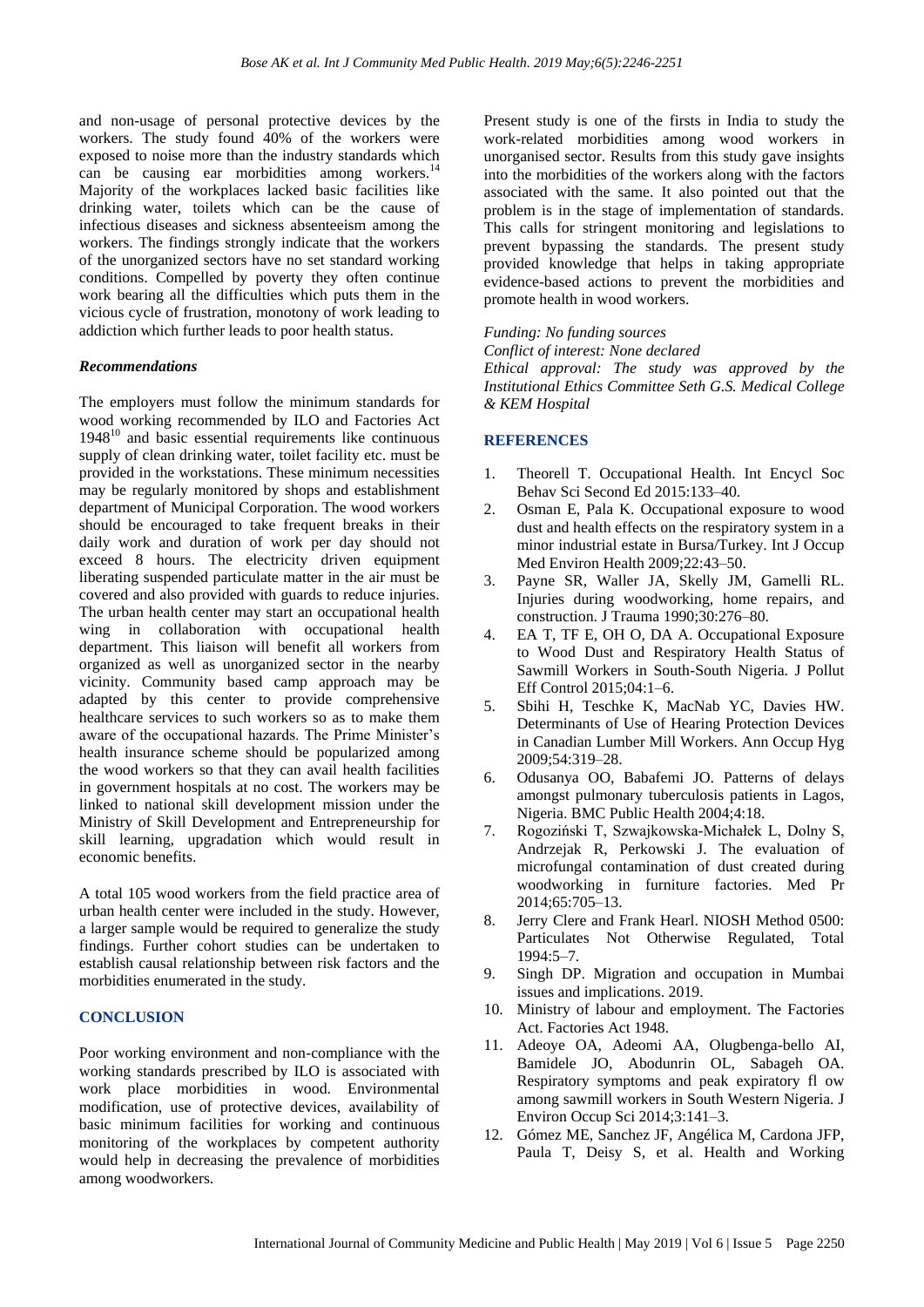and non-usage of personal protective devices by the workers. The study found 40% of the workers were exposed to noise more than the industry standards which can be causing ear morbidities among workers.<sup>14</sup> Majority of the workplaces lacked basic facilities like drinking water, toilets which can be the cause of infectious diseases and sickness absenteeism among the workers. The findings strongly indicate that the workers of the unorganized sectors have no set standard working conditions. Compelled by poverty they often continue work bearing all the difficulties which puts them in the vicious cycle of frustration, monotony of work leading to addiction which further leads to poor health status.

#### *Recommendations*

The employers must follow the minimum standards for wood working recommended by ILO and Factories Act  $1948<sup>10</sup>$  and basic essential requirements like continuous supply of clean drinking water, toilet facility etc. must be provided in the workstations. These minimum necessities may be regularly monitored by shops and establishment department of Municipal Corporation. The wood workers should be encouraged to take frequent breaks in their daily work and duration of work per day should not exceed 8 hours. The electricity driven equipment liberating suspended particulate matter in the air must be covered and also provided with guards to reduce injuries. The urban health center may start an occupational health wing in collaboration with occupational health department. This liaison will benefit all workers from organized as well as unorganized sector in the nearby vicinity. Community based camp approach may be adapted by this center to provide comprehensive healthcare services to such workers so as to make them aware of the occupational hazards. The Prime Minister's health insurance scheme should be popularized among the wood workers so that they can avail health facilities in government hospitals at no cost. The workers may be linked to national skill development mission under the Ministry of Skill Development and Entrepreneurship for skill learning, upgradation which would result in economic benefits.

A total 105 wood workers from the field practice area of urban health center were included in the study. However, a larger sample would be required to generalize the study findings. Further cohort studies can be undertaken to establish causal relationship between risk factors and the morbidities enumerated in the study.

#### **CONCLUSION**

Poor working environment and non-compliance with the working standards prescribed by ILO is associated with work place morbidities in wood. Environmental modification, use of protective devices, availability of basic minimum facilities for working and continuous monitoring of the workplaces by competent authority would help in decreasing the prevalence of morbidities among woodworkers.

Present study is one of the firsts in India to study the work-related morbidities among wood workers in unorganised sector. Results from this study gave insights into the morbidities of the workers along with the factors associated with the same. It also pointed out that the problem is in the stage of implementation of standards. This calls for stringent monitoring and legislations to prevent bypassing the standards. The present study provided knowledge that helps in taking appropriate evidence-based actions to prevent the morbidities and promote health in wood workers.

### *Funding: No funding sources*

*Conflict of interest: None declared*

*Ethical approval: The study was approved by the Institutional Ethics Committee Seth G.S. Medical College & KEM Hospital*

#### **REFERENCES**

- 1. Theorell T. Occupational Health. Int Encycl Soc Behav Sci Second Ed 2015:133–40.
- 2. Osman E, Pala K. Occupational exposure to wood dust and health effects on the respiratory system in a minor industrial estate in Bursa/Turkey. Int J Occup Med Environ Health 2009;22:43–50.
- 3. Payne SR, Waller JA, Skelly JM, Gamelli RL. Injuries during woodworking, home repairs, and construction. J Trauma 1990;30:276–80.
- 4. EA T, TF E, OH O, DA A. Occupational Exposure to Wood Dust and Respiratory Health Status of Sawmill Workers in South-South Nigeria. J Pollut Eff Control 2015;04:1–6.
- 5. Sbihi H, Teschke K, MacNab YC, Davies HW. Determinants of Use of Hearing Protection Devices in Canadian Lumber Mill Workers. Ann Occup Hyg 2009;54:319–28.
- 6. Odusanya OO, Babafemi JO. Patterns of delays amongst pulmonary tuberculosis patients in Lagos, Nigeria. BMC Public Health 2004;4:18.
- 7. Rogoziński T, Szwajkowska-Michałek L, Dolny S, Andrzejak R, Perkowski J. The evaluation of microfungal contamination of dust created during woodworking in furniture factories. Med Pr 2014;65:705–13.
- 8. Jerry Clere and Frank Hearl. NIOSH Method 0500: Particulates Not Otherwise Regulated, Total 1994:5–7.
- 9. Singh DP. Migration and occupation in Mumbai issues and implications. 2019.
- 10. Ministry of labour and employment. The Factories Act. Factories Act 1948.
- 11. Adeoye OA, Adeomi AA, Olugbenga-bello AI, Bamidele JO, Abodunrin OL, Sabageh OA. Respiratory symptoms and peak expiratory fl ow among sawmill workers in South Western Nigeria. J Environ Occup Sci 2014;3:141–3.
- 12. Gómez ME, Sanchez JF, Angélica M, Cardona JFP, Paula T, Deisy S, et al. Health and Working